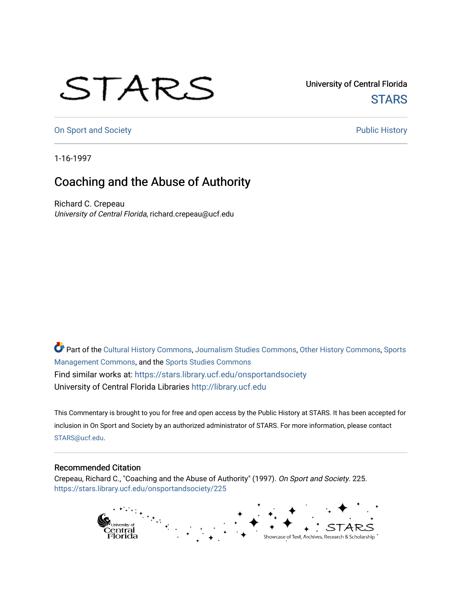## STARS

University of Central Florida **STARS** 

[On Sport and Society](https://stars.library.ucf.edu/onsportandsociety) **Public History** Public History

1-16-1997

## Coaching and the Abuse of Authority

Richard C. Crepeau University of Central Florida, richard.crepeau@ucf.edu

Part of the [Cultural History Commons](http://network.bepress.com/hgg/discipline/496?utm_source=stars.library.ucf.edu%2Fonsportandsociety%2F225&utm_medium=PDF&utm_campaign=PDFCoverPages), [Journalism Studies Commons,](http://network.bepress.com/hgg/discipline/333?utm_source=stars.library.ucf.edu%2Fonsportandsociety%2F225&utm_medium=PDF&utm_campaign=PDFCoverPages) [Other History Commons,](http://network.bepress.com/hgg/discipline/508?utm_source=stars.library.ucf.edu%2Fonsportandsociety%2F225&utm_medium=PDF&utm_campaign=PDFCoverPages) [Sports](http://network.bepress.com/hgg/discipline/1193?utm_source=stars.library.ucf.edu%2Fonsportandsociety%2F225&utm_medium=PDF&utm_campaign=PDFCoverPages) [Management Commons](http://network.bepress.com/hgg/discipline/1193?utm_source=stars.library.ucf.edu%2Fonsportandsociety%2F225&utm_medium=PDF&utm_campaign=PDFCoverPages), and the [Sports Studies Commons](http://network.bepress.com/hgg/discipline/1198?utm_source=stars.library.ucf.edu%2Fonsportandsociety%2F225&utm_medium=PDF&utm_campaign=PDFCoverPages) Find similar works at: <https://stars.library.ucf.edu/onsportandsociety> University of Central Florida Libraries [http://library.ucf.edu](http://library.ucf.edu/) 

This Commentary is brought to you for free and open access by the Public History at STARS. It has been accepted for inclusion in On Sport and Society by an authorized administrator of STARS. For more information, please contact [STARS@ucf.edu](mailto:STARS@ucf.edu).

## Recommended Citation

Crepeau, Richard C., "Coaching and the Abuse of Authority" (1997). On Sport and Society. 225. [https://stars.library.ucf.edu/onsportandsociety/225](https://stars.library.ucf.edu/onsportandsociety/225?utm_source=stars.library.ucf.edu%2Fonsportandsociety%2F225&utm_medium=PDF&utm_campaign=PDFCoverPages)

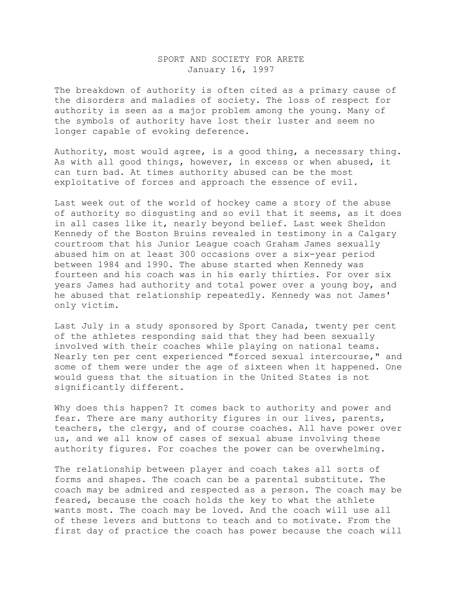## SPORT AND SOCIETY FOR ARETE January 16, 1997

The breakdown of authority is often cited as a primary cause of the disorders and maladies of society. The loss of respect for authority is seen as a major problem among the young. Many of the symbols of authority have lost their luster and seem no longer capable of evoking deference.

Authority, most would agree, is a good thing, a necessary thing. As with all good things, however, in excess or when abused, it can turn bad. At times authority abused can be the most exploitative of forces and approach the essence of evil.

Last week out of the world of hockey came a story of the abuse of authority so disgusting and so evil that it seems, as it does in all cases like it, nearly beyond belief. Last week Sheldon Kennedy of the Boston Bruins revealed in testimony in a Calgary courtroom that his Junior League coach Graham James sexually abused him on at least 300 occasions over a six-year period between 1984 and 1990. The abuse started when Kennedy was fourteen and his coach was in his early thirties. For over six years James had authority and total power over a young boy, and he abused that relationship repeatedly. Kennedy was not James' only victim.

Last July in a study sponsored by Sport Canada, twenty per cent of the athletes responding said that they had been sexually involved with their coaches while playing on national teams. Nearly ten per cent experienced "forced sexual intercourse," and some of them were under the age of sixteen when it happened. One would guess that the situation in the United States is not significantly different.

Why does this happen? It comes back to authority and power and fear. There are many authority figures in our lives, parents, teachers, the clergy, and of course coaches. All have power over us, and we all know of cases of sexual abuse involving these authority figures. For coaches the power can be overwhelming.

The relationship between player and coach takes all sorts of forms and shapes. The coach can be a parental substitute. The coach may be admired and respected as a person. The coach may be feared, because the coach holds the key to what the athlete wants most. The coach may be loved. And the coach will use all of these levers and buttons to teach and to motivate. From the first day of practice the coach has power because the coach will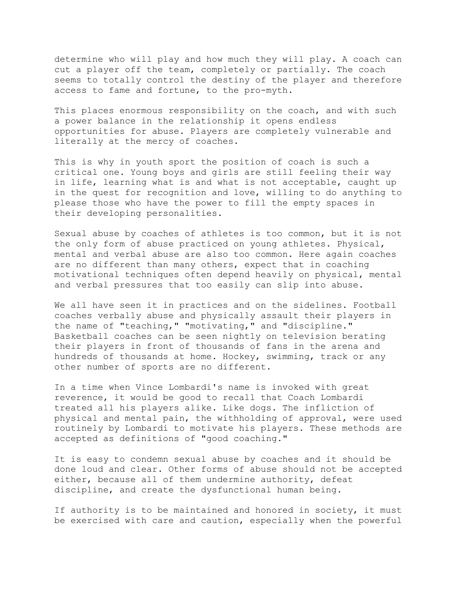determine who will play and how much they will play. A coach can cut a player off the team, completely or partially. The coach seems to totally control the destiny of the player and therefore access to fame and fortune, to the pro-myth.

This places enormous responsibility on the coach, and with such a power balance in the relationship it opens endless opportunities for abuse. Players are completely vulnerable and literally at the mercy of coaches.

This is why in youth sport the position of coach is such a critical one. Young boys and girls are still feeling their way in life, learning what is and what is not acceptable, caught up in the quest for recognition and love, willing to do anything to please those who have the power to fill the empty spaces in their developing personalities.

Sexual abuse by coaches of athletes is too common, but it is not the only form of abuse practiced on young athletes. Physical, mental and verbal abuse are also too common. Here again coaches are no different than many others, expect that in coaching motivational techniques often depend heavily on physical, mental and verbal pressures that too easily can slip into abuse.

We all have seen it in practices and on the sidelines. Football coaches verbally abuse and physically assault their players in the name of "teaching," "motivating," and "discipline." Basketball coaches can be seen nightly on television berating their players in front of thousands of fans in the arena and hundreds of thousands at home. Hockey, swimming, track or any other number of sports are no different.

In a time when Vince Lombardi's name is invoked with great reverence, it would be good to recall that Coach Lombardi treated all his players alike. Like dogs. The infliction of physical and mental pain, the withholding of approval, were used routinely by Lombardi to motivate his players. These methods are accepted as definitions of "good coaching."

It is easy to condemn sexual abuse by coaches and it should be done loud and clear. Other forms of abuse should not be accepted either, because all of them undermine authority, defeat discipline, and create the dysfunctional human being.

If authority is to be maintained and honored in society, it must be exercised with care and caution, especially when the powerful